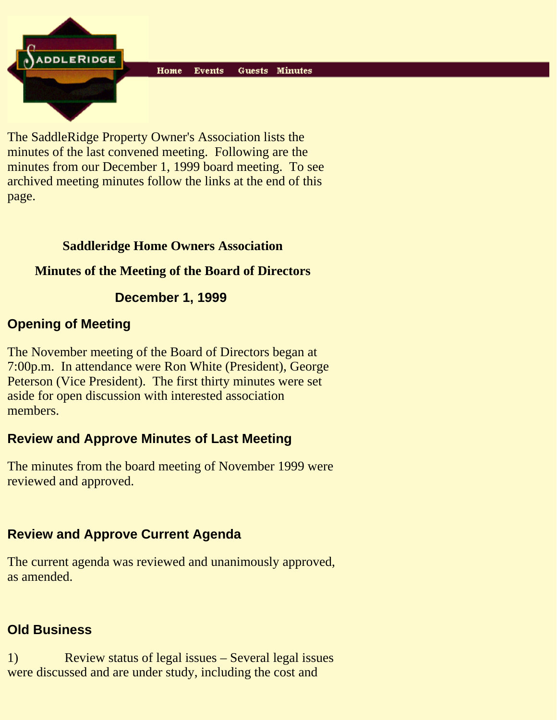Home **Events** Guests Minutes

The SaddleRidge Property Owner's Association lists the minutes of the last convened meeting. Following are the minutes from our December 1, 1999 board meeting. To see archived meeting minutes follow the links at the end of this page.

#### **Saddleridge Home Owners Association**

## **Minutes of the Meeting of the Board of Directors**

## **December 1, 1999**

## **Opening of Meeting**

**ADDLERIDGE** 

The November meeting of the Board of Directors began at 7:00p.m. In attendance were Ron White (President), George Peterson (Vice President). The first thirty minutes were set aside for open discussion with interested association members.

## **Review and Approve Minutes of Last Meeting**

The minutes from the board meeting of November 1999 were reviewed and approved.

## **Review and Approve Current Agenda**

The current agenda was reviewed and unanimously approved, as amended.

#### **Old Business**

1) Review status of legal issues – Several legal issues were discussed and are under study, including the cost and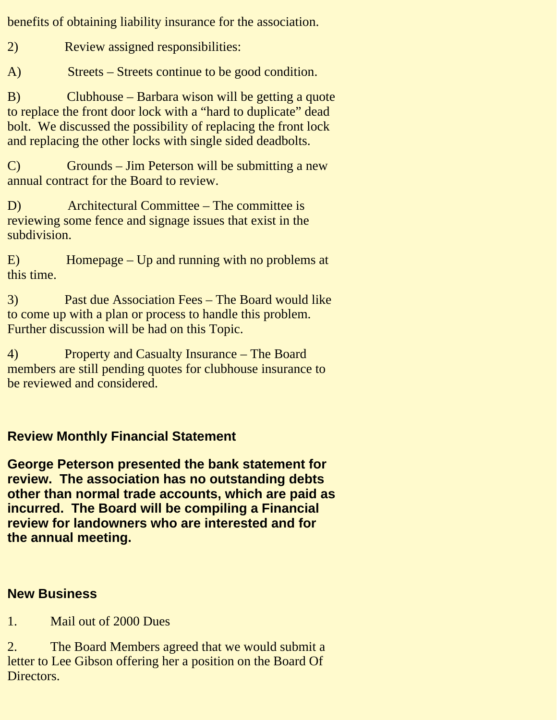benefits of obtaining liability insurance for the association.

2) Review assigned responsibilities:

A) Streets – Streets continue to be good condition.

B) Clubhouse – Barbara wison will be getting a quote to replace the front door lock with a "hard to duplicate" dead bolt. We discussed the possibility of replacing the front lock and replacing the other locks with single sided deadbolts.

C) Grounds – Jim Peterson will be submitting a new annual contract for the Board to review.

D) Architectural Committee – The committee is reviewing some fence and signage issues that exist in the subdivision.

E) Homepage – Up and running with no problems at this time.

3) Past due Association Fees – The Board would like to come up with a plan or process to handle this problem. Further discussion will be had on this Topic.

4) Property and Casualty Insurance – The Board members are still pending quotes for clubhouse insurance to be reviewed and considered.

## **Review Monthly Financial Statement**

**George Peterson presented the bank statement for review. The association has no outstanding debts other than normal trade accounts, which are paid as incurred. The Board will be compiling a Financial review for landowners who are interested and for the annual meeting.**

#### **New Business**

1. Mail out of 2000 Dues

2. The Board Members agreed that we would submit a letter to Lee Gibson offering her a position on the Board Of Directors.